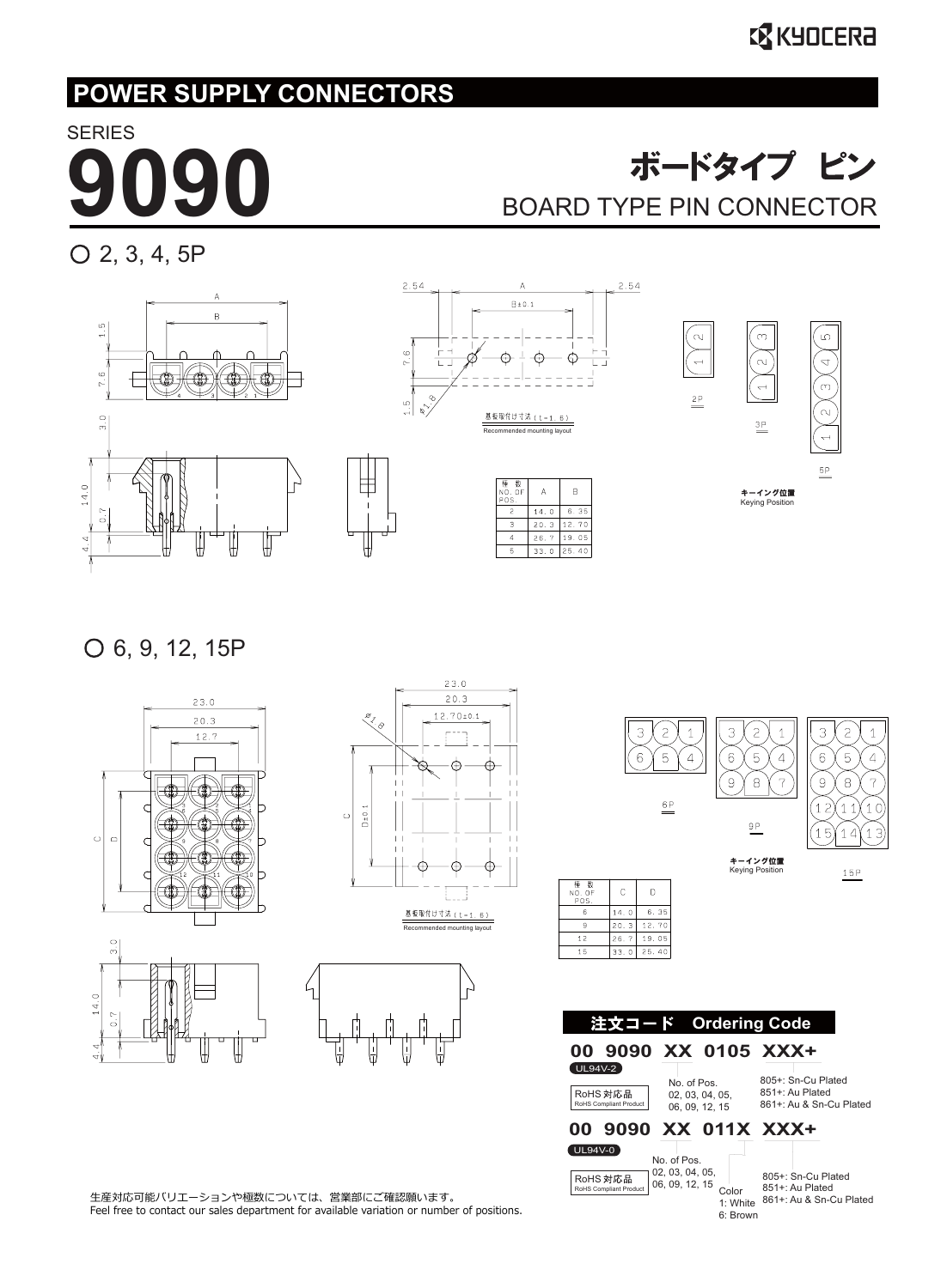#### **EX KYOCERA**

#### **POWER SUPPLY CONNECTORS**

SERIES

### **デードタイプ ピン<br>BOARD TYPE PIN CONNECTOR**

2, 3, 4, 5P





6, 9, 12, 15P



₩







861+: Au & Sn-Cu Plated 1: White

6: Brown

生産対応可能バリエーションや極数については、営業部にご確認願います。 Feel free to contact our sales department for available variation or number of positions.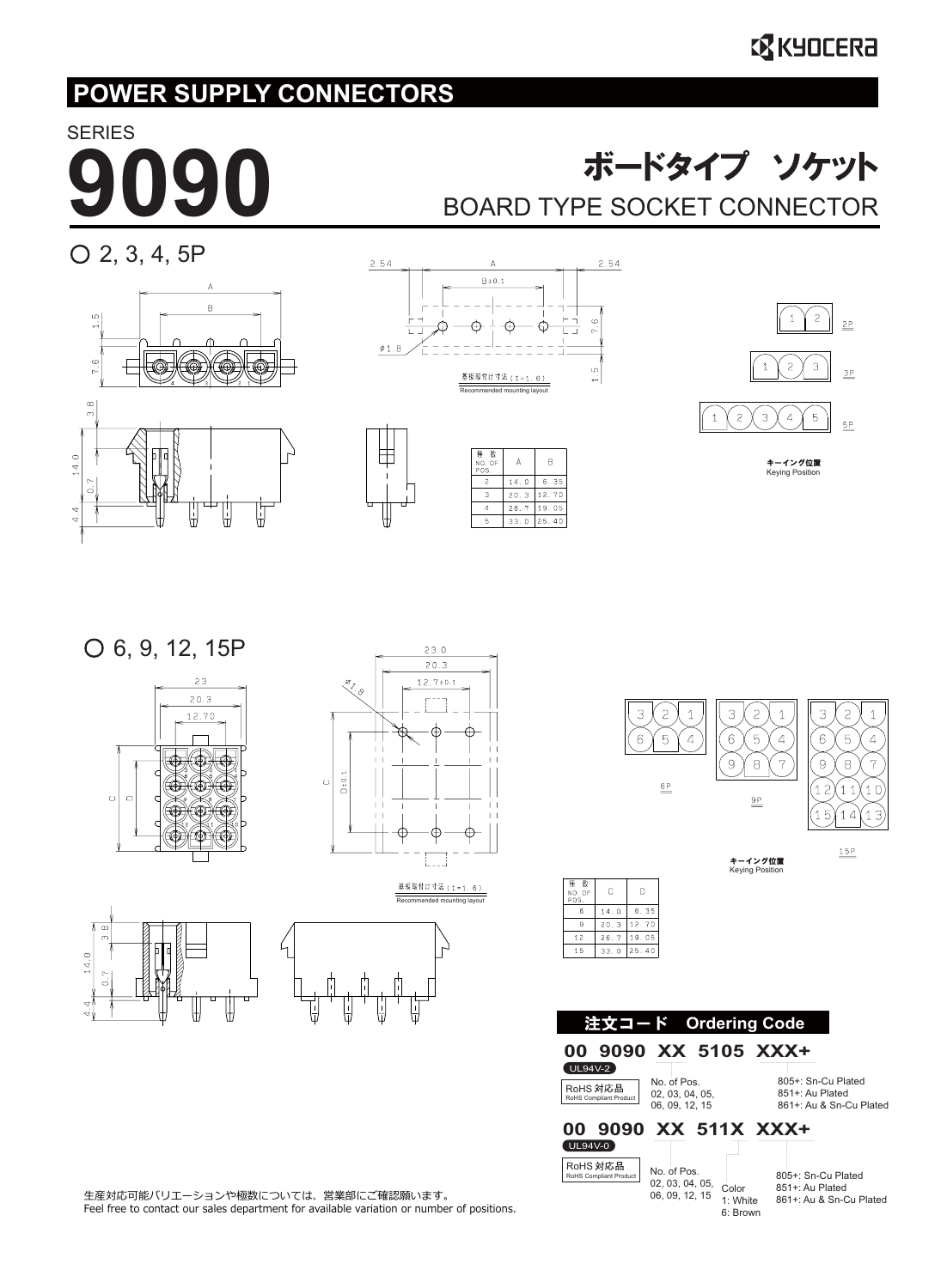## **SERIES**

### **おードタイプ ソケット**<br>BOARD TYPE SOCKET CONNECTOR

 $O$  2, 3, 4, 5P









Keying Position

6, 9, 12, 15P





 $\bar{z}$ 3  $\bar{z}$  $\ensuremath{\mathsf{3}}$ 3  $\overline{c}$  $\mathbf{1}$  $\overline{1}$  $\overline{1}$  $6^{\circ}$ 5  $\overline{4}$  $6\overline{6}$  $6^{\circ}$ 5  $\overline{4}$ 5  $\overline{4}$  $\overline{9}$  $\,$  8  $\,$  $\overline{7}$  $\overline{9}$ 8  $\overline{7}$  $\overset{6P}{=}$  $\overline{1}2$  $(11$  $10$  $\overset{\mathsf{9P}}{=}$  $15$  $14$  $\left(1\right.3\right)$  $\frac{15P}{2}$ キーイング位置 Keying Position

| $3.\overline{8}$ |  |
|------------------|--|
| 0.7              |  |

 $14.0$ 

 $\frac{4}{4}$ 





生産対応可能バリエーションや極数については、営業部にご確認願います。 Feel free to contact our sales department for available variation or number of positions.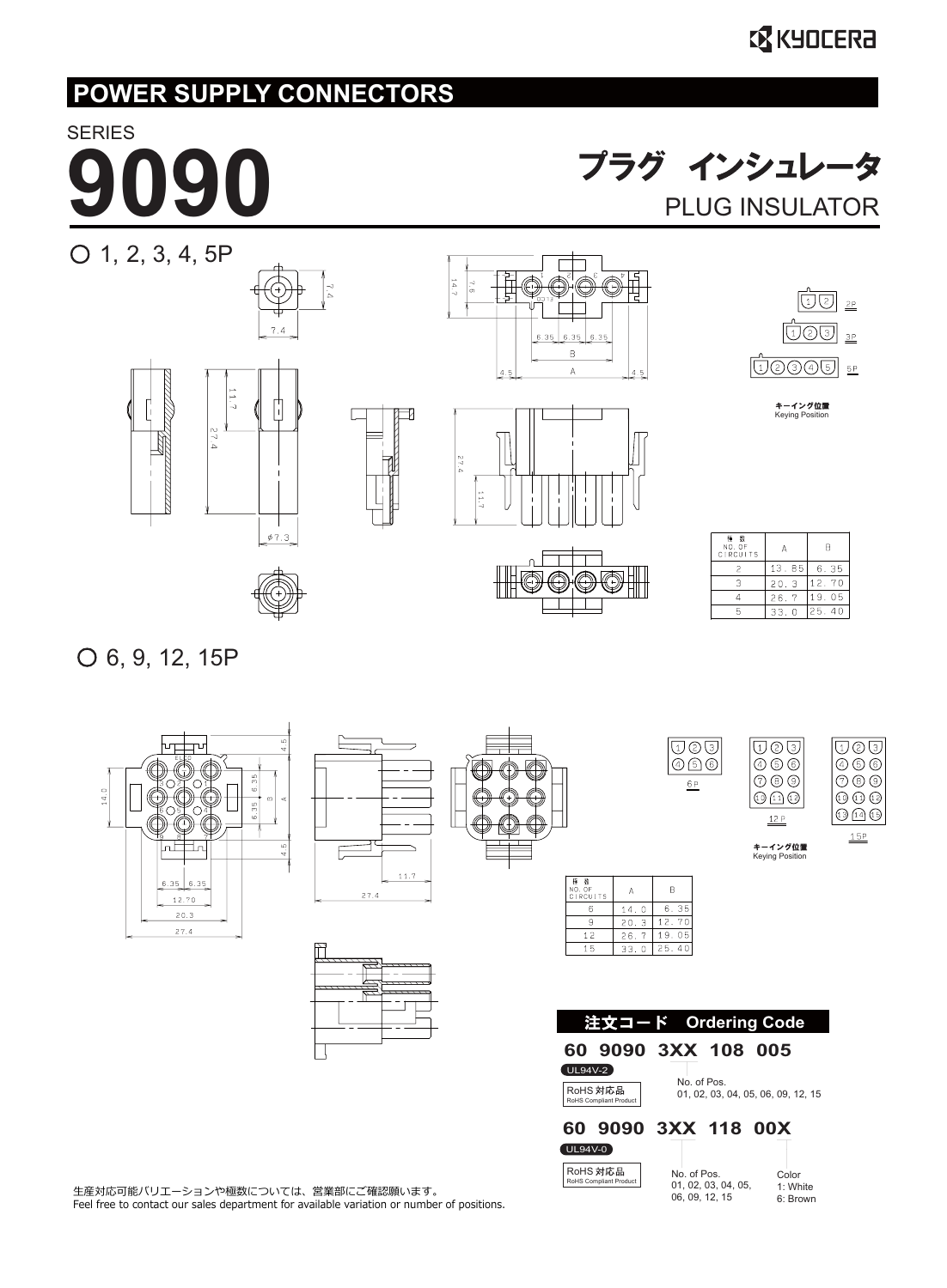# **SERIES**

**プラグ インシュレータ**<br>PLUG INSULATOR



6, 9, 12, 15P



|      | 11.7 |
|------|------|
| 27.4 |      |

| ᠸᠸᡃ | ┑ |
|-----|---|
|     | ↽ |
| ≺   |   |
|     |   |
|     |   |
|     |   |
|     |   |

| p<br>5<br>6 |  |
|-------------|--|
| 6P          |  |

| 2)<br>٦      |
|--------------|
| 〔5〕          |
| (8)          |
| (11)<br>(12) |
|              |
| <b>5P</b>    |

キーイング位置<br>Keying Position

 $\overline{1}$   $\overline{2}$   $\overline{3}$  $(4)$  $(5)$  $(6)$  $\circledcirc$   $\circledcirc$ 

 $\textcircled{\scriptsize{1}}$   $\textcircled{\scriptsize{1}}$ 

 $12P$ 

6: Brown

| 拝 数<br>NO. OF<br><b>CIRCUITS</b> | А    | в     |
|----------------------------------|------|-------|
| 6                                | 14.0 | 6.35  |
| 9                                | 20.3 | 12.70 |
| 12                               | 26.7 | 19.05 |
| 15                               | 33.0 | 25.40 |
|                                  |      |       |

|                                    | 注文コード Ordering Code                |                                           |                 |                   |  |
|------------------------------------|------------------------------------|-------------------------------------------|-----------------|-------------------|--|
|                                    | 60 9090 3XX 108 005                |                                           |                 |                   |  |
| <b>UL94V-2</b>                     |                                    |                                           |                 |                   |  |
| RoHS 対応品<br>RoHS Compliant Product |                                    | No. of Pos.<br>01.02.03.04.05.06.09.12.15 |                 |                   |  |
| 60.                                | 9090 3XX 118 00X                   |                                           |                 |                   |  |
| <b>UL94V-0</b>                     |                                    |                                           |                 |                   |  |
|                                    | RoHS 対応品<br>RoHS Compliant Product | No. of Pos.                               | 01.02.03.04.05. | Color<br>1: White |  |

06, 09, 12, 15

生産対応可能バリエーションや極数については、営業部にご確認願います。 Feel free to contact our sales department for available variation or number of positions.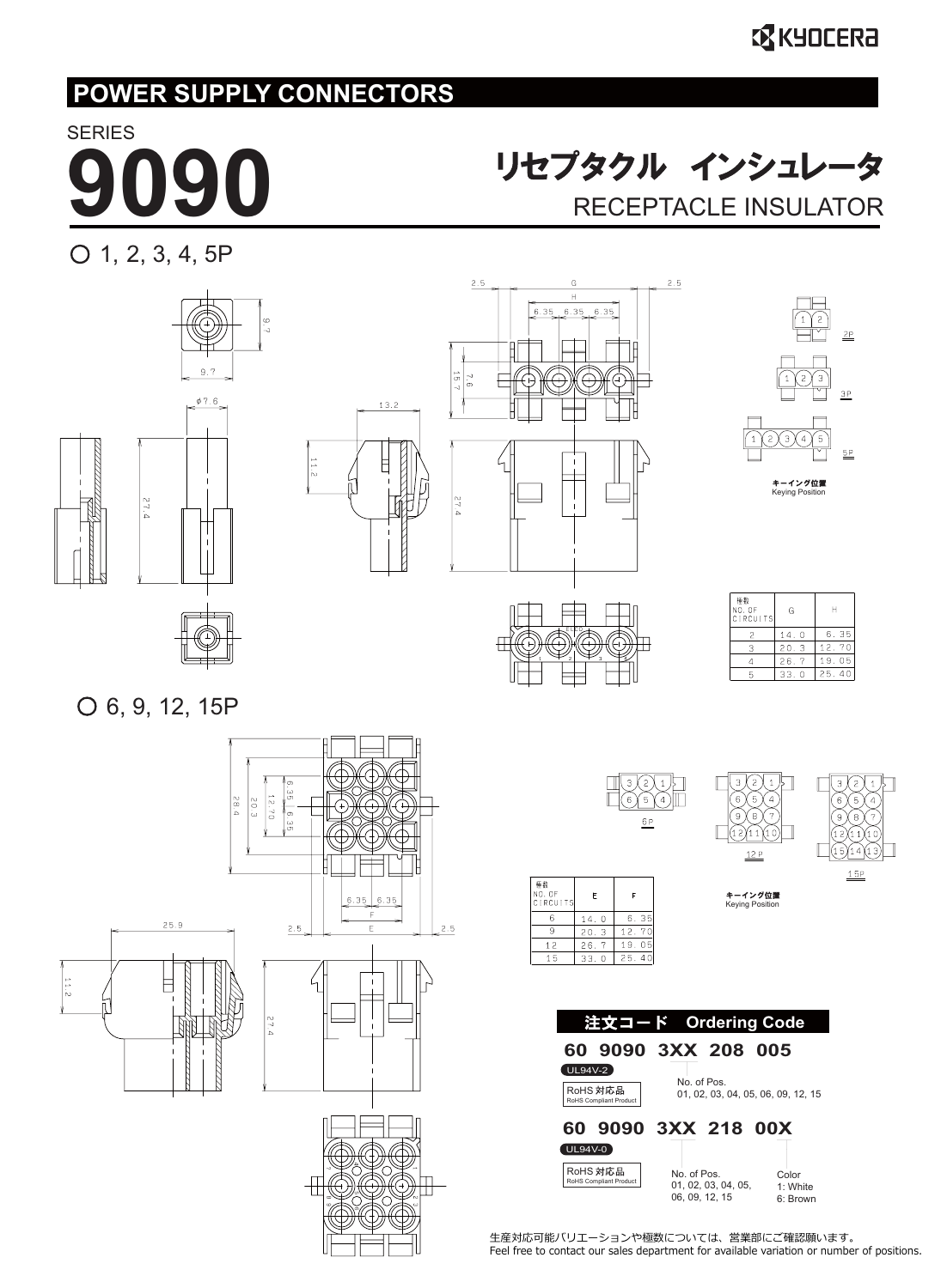## **SERIES**

**9000 リセプタクル インシュレータ**<br>RECEPTACLE INSULATOR

 $O$  1, 2, 3, 4, 5P





生産対応可能バリエーションや極数については、営業部にご確認願います。 Feel free to contact our sales department for available variation or number of positions.

Color 1: White 6: Brown

**60 9090 3XX 218 00X**

UL94V-0

RoHS 対応品 RoHS Compliant P

No. of Pos. 01, 02, 03, 04, 05, 06, 09, 12, 15